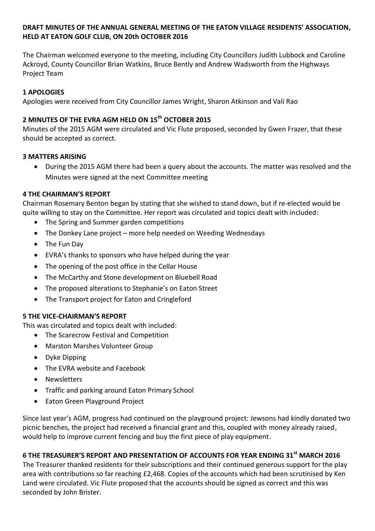## **DRAFT MINUTES OF THE ANNUAL GENERAL MEETING OF THE EATON VILLAGE RESIDENTS' ASSOCIATION, HELD AT EATON GOLF CLUB, ON 20th OCTOBER 2016**

The Chairman welcomed everyone to the meeting, including City Councillors Judith Lubbock and Caroline Ackroyd, County Councillor Brian Watkins, Bruce Bently and Andrew Wadsworth from the Highways Project Team

# **1 APOLOGIES**

Apologies were received from City Councillor James Wright, Sharon Atkinson and Vali Rao

# **2 MINUTES OF THE EVRA AGM HELD ON 15th OCTOBER 2015**

Minutes of the 2015 AGM were circulated and Vic Flute proposed, seconded by Gwen Frazer, that these should be accepted as correct.

## **3 MATTERS ARISING**

 During the 2015 AGM there had been a query about the accounts. The matter was resolved and the Minutes were signed at the next Committee meeting

#### **4 THE CHAIRMAN'S REPORT**

Chairman Rosemary Benton began by stating that she wished to stand down, but if re-elected would be quite willing to stay on the Committee. Her report was circulated and topics dealt with included:

- The Spring and Summer garden competitions
- The Donkey Lane project more help needed on Weeding Wednesdays
- The Fun Day
- EVRA's thanks to sponsors who have helped during the year
- The opening of the post office in the Cellar House
- The McCarthy and Stone development on Bluebell Road
- The proposed alterations to Stephanie's on Eaton Street
- The Transport project for Eaton and Cringleford

## **5 THE VICE-CHAIRMAN'S REPORT**

This was circulated and topics dealt with included:

- The Scarecrow Festival and Competition
- Marston Marshes Volunteer Group
- Dyke Dipping
- The EVRA website and Facebook
- Newsletters
- Traffic and parking around Eaton Primary School
- Eaton Green Playground Project

Since last year's AGM, progress had continued on the playground project: Jewsons had kindly donated two picnic benches, the project had received a financial grant and this, coupled with money already raised, would help to improve current fencing and buy the first piece of play equipment.

## **6 THE TREASURER'S REPORT AND PRESENTATION OF ACCOUNTS FOR YEAR ENDING 31st MARCH 2016**

The Treasurer thanked residents for their subscriptions and their continued generous support for the play area with contributions so far reaching £2,468. Copies of the accounts which had been scrutinised by Ken Land were circulated. Vic Flute proposed that the accounts should be signed as correct and this was seconded by John Brister.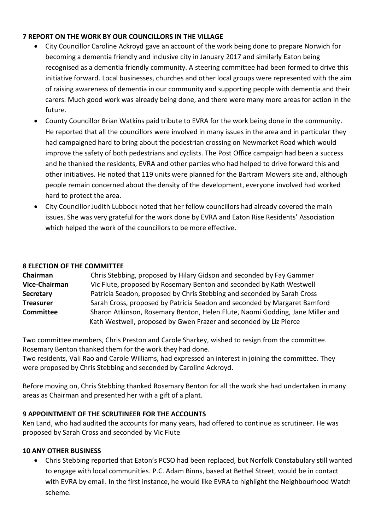## **7 REPORT ON THE WORK BY OUR COUNCILLORS IN THE VILLAGE**

- City Councillor Caroline Ackroyd gave an account of the work being done to prepare Norwich for becoming a dementia friendly and inclusive city in January 2017 and similarly Eaton being recognised as a dementia friendly community. A steering committee had been formed to drive this initiative forward. Local businesses, churches and other local groups were represented with the aim of raising awareness of dementia in our community and supporting people with dementia and their carers. Much good work was already being done, and there were many more areas for action in the future.
- County Councillor Brian Watkins paid tribute to EVRA for the work being done in the community. He reported that all the councillors were involved in many issues in the area and in particular they had campaigned hard to bring about the pedestrian crossing on Newmarket Road which would improve the safety of both pedestrians and cyclists. The Post Office campaign had been a success and he thanked the residents, EVRA and other parties who had helped to drive forward this and other initiatives. He noted that 119 units were planned for the Bartram Mowers site and, although people remain concerned about the density of the development, everyone involved had worked hard to protect the area.
- City Councillor Judith Lubbock noted that her fellow councillors had already covered the main issues. She was very grateful for the work done by EVRA and Eaton Rise Residents' Association which helped the work of the councillors to be more effective.

## **8 ELECTION OF THE COMMITTEE**

| Chairman             | Chris Stebbing, proposed by Hilary Gidson and seconded by Fay Gammer          |
|----------------------|-------------------------------------------------------------------------------|
| <b>Vice-Chairman</b> | Vic Flute, proposed by Rosemary Benton and seconded by Kath Westwell          |
| <b>Secretary</b>     | Patricia Seadon, proposed by Chris Stebbing and seconded by Sarah Cross       |
| <b>Treasurer</b>     | Sarah Cross, proposed by Patricia Seadon and seconded by Margaret Bamford     |
| <b>Committee</b>     | Sharon Atkinson, Rosemary Benton, Helen Flute, Naomi Godding, Jane Miller and |
|                      | Kath Westwell, proposed by Gwen Frazer and seconded by Liz Pierce             |

Two committee members, Chris Preston and Carole Sharkey, wished to resign from the committee. Rosemary Benton thanked them for the work they had done.

Two residents, Vali Rao and Carole Williams, had expressed an interest in joining the committee. They were proposed by Chris Stebbing and seconded by Caroline Ackroyd.

Before moving on, Chris Stebbing thanked Rosemary Benton for all the work she had undertaken in many areas as Chairman and presented her with a gift of a plant.

# **9 APPOINTMENT OF THE SCRUTINEER FOR THE ACCOUNTS**

Ken Land, who had audited the accounts for many years, had offered to continue as scrutineer. He was proposed by Sarah Cross and seconded by Vic Flute

## **10 ANY OTHER BUSINESS**

 Chris Stebbing reported that Eaton's PCSO had been replaced, but Norfolk Constabulary still wanted to engage with local communities. P.C. Adam Binns, based at Bethel Street, would be in contact with EVRA by email. In the first instance, he would like EVRA to highlight the Neighbourhood Watch scheme.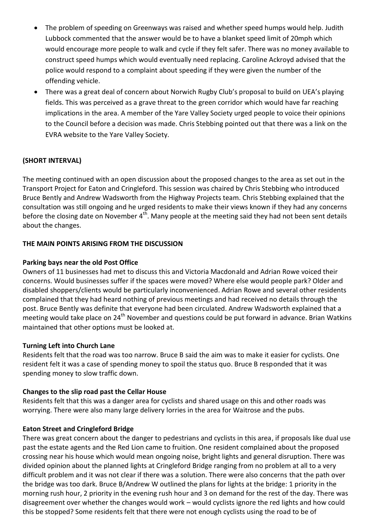- The problem of speeding on Greenways was raised and whether speed humps would help. Judith Lubbock commented that the answer would be to have a blanket speed limit of 20mph which would encourage more people to walk and cycle if they felt safer. There was no money available to construct speed humps which would eventually need replacing. Caroline Ackroyd advised that the police would respond to a complaint about speeding if they were given the number of the offending vehicle.
- There was a great deal of concern about Norwich Rugby Club's proposal to build on UEA's playing fields. This was perceived as a grave threat to the green corridor which would have far reaching implications in the area. A member of the Yare Valley Society urged people to voice their opinions to the Council before a decision was made. Chris Stebbing pointed out that there was a link on the EVRA website to the Yare Valley Society.

# **(SHORT INTERVAL)**

The meeting continued with an open discussion about the proposed changes to the area as set out in the Transport Project for Eaton and Cringleford. This session was chaired by Chris Stebbing who introduced Bruce Bently and Andrew Wadsworth from the Highway Projects team. Chris Stebbing explained that the consultation was still ongoing and he urged residents to make their views known if they had any concerns before the closing date on November  $4<sup>th</sup>$ . Many people at the meeting said they had not been sent details about the changes.

#### **THE MAIN POINTS ARISING FROM THE DISCUSSION**

### **Parking bays near the old Post Office**

Owners of 11 businesses had met to discuss this and Victoria Macdonald and Adrian Rowe voiced their concerns. Would businesses suffer if the spaces were moved? Where else would people park? Older and disabled shoppers/clients would be particularly inconvenienced. Adrian Rowe and several other residents complained that they had heard nothing of previous meetings and had received no details through the post. Bruce Bently was definite that everyone had been circulated. Andrew Wadsworth explained that a meeting would take place on 24<sup>th</sup> November and questions could be put forward in advance. Brian Watkins maintained that other options must be looked at.

#### **Turning Left into Church Lane**

Residents felt that the road was too narrow. Bruce B said the aim was to make it easier for cyclists. One resident felt it was a case of spending money to spoil the status quo. Bruce B responded that it was spending money to slow traffic down.

#### **Changes to the slip road past the Cellar House**

Residents felt that this was a danger area for cyclists and shared usage on this and other roads was worrying. There were also many large delivery lorries in the area for Waitrose and the pubs.

#### **Eaton Street and Cringleford Bridge**

There was great concern about the danger to pedestrians and cyclists in this area, if proposals like dual use past the estate agents and the Red Lion came to fruition. One resident complained about the proposed crossing near his house which would mean ongoing noise, bright lights and general disruption. There was divided opinion about the planned lights at Cringleford Bridge ranging from no problem at all to a very difficult problem and it was not clear if there was a solution. There were also concerns that the path over the bridge was too dark. Bruce B/Andrew W outlined the plans for lights at the bridge: 1 priority in the morning rush hour, 2 priority in the evening rush hour and 3 on demand for the rest of the day. There was disagreement over whether the changes would work – would cyclists ignore the red lights and how could this be stopped? Some residents felt that there were not enough cyclists using the road to be of